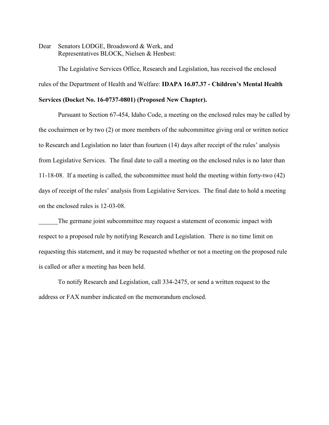Dear Senators LODGE, Broadsword & Werk, and Representatives BLOCK, Nielsen & Henbest:

The Legislative Services Office, Research and Legislation, has received the enclosed rules of the Department of Health and Welfare: **IDAPA 16.07.37 - Children's Mental Health**

# **Services (Docket No. 16-0737-0801) (Proposed New Chapter).**

Pursuant to Section 67-454, Idaho Code, a meeting on the enclosed rules may be called by the cochairmen or by two (2) or more members of the subcommittee giving oral or written notice to Research and Legislation no later than fourteen (14) days after receipt of the rules' analysis from Legislative Services. The final date to call a meeting on the enclosed rules is no later than 11-18-08. If a meeting is called, the subcommittee must hold the meeting within forty-two (42) days of receipt of the rules' analysis from Legislative Services. The final date to hold a meeting on the enclosed rules is 12-03-08.

The germane joint subcommittee may request a statement of economic impact with respect to a proposed rule by notifying Research and Legislation. There is no time limit on requesting this statement, and it may be requested whether or not a meeting on the proposed rule is called or after a meeting has been held.

To notify Research and Legislation, call 334-2475, or send a written request to the address or FAX number indicated on the memorandum enclosed.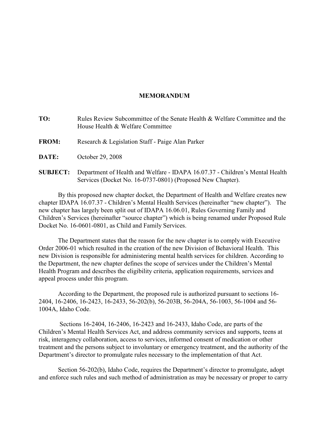# **MEMORANDUM**

| TO:             | Rules Review Subcommittee of the Senate Health & Welfare Committee and the<br>House Health & Welfare Committee |
|-----------------|----------------------------------------------------------------------------------------------------------------|
| <b>FROM:</b>    | Research & Legislation Staff - Paige Alan Parker                                                               |
| DATE:           | October 29, 2008                                                                                               |
| <b>SUBJECT:</b> | Department of Health and Welfare - IDAPA 16.07.37 - Children's Mental Health                                   |

Services (Docket No. 16-0737-0801) (Proposed New Chapter).

By this proposed new chapter docket, the Department of Health and Welfare creates new chapter IDAPA 16.07.37 - Children's Mental Health Services (hereinafter "new chapter"). The new chapter has largely been split out of IDAPA 16.06.01, Rules Governing Family and Children's Services (hereinafter "source chapter") which is being renamed under Proposed Rule Docket No. 16-0601-0801, as Child and Family Services.

The Department states that the reason for the new chapter is to comply with Executive Order 2006-01 which resulted in the creation of the new Division of Behavioral Health. This new Division is responsible for administering mental health services for children. According to the Department, the new chapter defines the scope of services under the Children's Mental Health Program and describes the eligibility criteria, application requirements, services and appeal process under this program.

According to the Department, the proposed rule is authorized pursuant to sections 16- 2404, 16-2406, 16-2423, 16-2433, 56-202(b), 56-203B, 56-204A, 56-1003, 56-1004 and 56- 1004A, Idaho Code.

 Sections 16-2404, 16-2406, 16-2423 and 16-2433, Idaho Code, are parts of the Children's Mental Health Services Act, and address community services and supports, teens at risk, interagency collaboration, access to services, informed consent of medication or other treatment and the persons subject to involuntary or emergency treatment, and the authority of the Department's director to promulgate rules necessary to the implementation of that Act.

Section 56-202(b), Idaho Code, requires the Department's director to promulgate, adopt and enforce such rules and such method of administration as may be necessary or proper to carry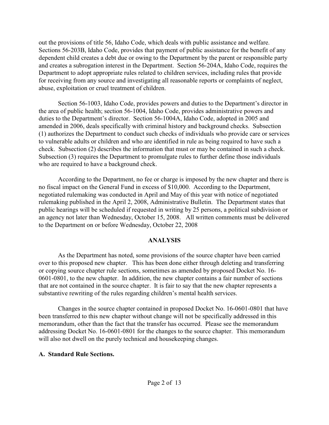out the provisions of title 56, Idaho Code, which deals with public assistance and welfare. Sections 56-203B, Idaho Code, provides that payment of public assistance for the benefit of any dependent child creates a debt due or owing to the Department by the parent or responsible party and creates a subrogation interest in the Department. Section 56-204A, Idaho Code, requires the Department to adopt appropriate rules related to children services, including rules that provide for receiving from any source and investigating all reasonable reports or complaints of neglect, abuse, exploitation or cruel treatment of children.

Section 56-1003, Idaho Code, provides powers and duties to the Department's director in the area of public health; section 56-1004, Idaho Code, provides administrative powers and duties to the Department's director. Section 56-1004A, Idaho Code, adopted in 2005 and amended in 2006, deals specifically with criminal history and background checks. Subsection (1) authorizes the Department to conduct such checks of individuals who provide care or services to vulnerable adults or children and who are identified in rule as being required to have such a check. Subsection (2) describes the information that must or may be contained in such a check. Subsection (3) requires the Department to promulgate rules to further define those individuals who are required to have a background check.

According to the Department, no fee or charge is imposed by the new chapter and there is no fiscal impact on the General Fund in excess of \$10,000. According to the Department, negotiated rulemaking was conducted in April and May of this year with notice of negotiated rulemaking published in the April 2, 2008, Administrative Bulletin. The Department states that public hearings will be scheduled if requested in writing by 25 persons, a political subdivision or an agency not later than Wednesday, October 15, 2008. All written comments must be delivered to the Department on or before Wednesday, October 22, 2008

# **ANALYSIS**

As the Department has noted, some provisions of the source chapter have been carried over to this proposed new chapter. This has been done either through deleting and transferring or copying source chapter rule sections, sometimes as amended by proposed Docket No. 16- 0601-0801, to the new chapter. In addition, the new chapter contains a fair number of sections that are not contained in the source chapter. It is fair to say that the new chapter represents a substantive rewriting of the rules regarding children's mental health services.

Changes in the source chapter contained in proposed Docket No. 16-0601-0801 that have been transferred to this new chapter without change will not be specifically addressed in this memorandum, other than the fact that the transfer has occurred. Please see the memorandum addressing Docket No. 16-0601-0801 for the changes to the source chapter. This memorandum will also not dwell on the purely technical and housekeeping changes.

# **A. Standard Rule Sections.**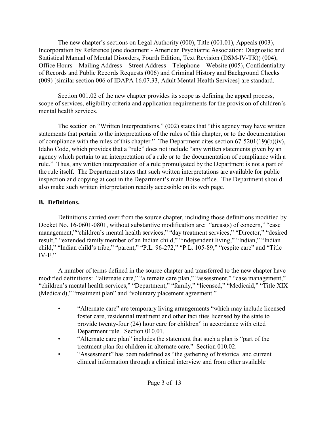The new chapter's sections on Legal Authority (000), Title (001.01), Appeals (003), Incorporation by Reference (one document - American Psychiatric Association: Diagnostic and Statistical Manual of Mental Disorders, Fourth Edition, Text Revision (DSM-IV-TR)) (004), Office Hours – Mailing Address – Street Address – Telephone – Website (005), Confidentiality of Records and Public Records Requests (006) and Criminal History and Background Checks (009) [similar section 006 of IDAPA 16.07.33, Adult Mental Health Services] are standard.

Section 001.02 of the new chapter provides its scope as defining the appeal process, scope of services, eligibility criteria and application requirements for the provision of children's mental health services.

The section on "Written Interpretations," (002) states that "this agency may have written statements that pertain to the interpretations of the rules of this chapter, or to the documentation of compliance with the rules of this chapter." The Department cites section 67-5201(19)(b)(iv), Idaho Code, which provides that a "rule" does not include "any written statements given by an agency which pertain to an interpretation of a rule or to the documentation of compliance with a rule." Thus, any written interpretation of a rule promulgated by the Department is not a part of the rule itself. The Department states that such written interpretations are available for public inspection and copying at cost in the Department's main Boise office. The Department should also make such written interpretation readily accessible on its web page.

# **B. Definitions.**

Definitions carried over from the source chapter, including those definitions modified by Docket No. 16-0601-0801, without substantive modification are: "areas(s) of concern," "case management,""children's mental health services," "day treatment services," "Director," "desired result," "extended family member of an Indian child," "independent living," "Indian," "Indian child," "Indian child's tribe," "parent," "P.L. 96-272," "P.L. 105-89," "respite care" and "Title IV-E."

A number of terms defined in the source chapter and transferred to the new chapter have modified definitions: "alternate care," "alternate care plan," "assessment," "case management," "children's mental health services," "Department," "family," "licensed," "Medicaid," "Title XIX (Medicaid)," "treatment plan" and "voluntary placement agreement."

- "Alternate care" are temporary living arrangements "which may include licensed foster care, residential treatment and other facilities licensed by the state to provide twenty-four (24) hour care for children" in accordance with cited Department rule. Section 010.01.
- "Alternate care plan" includes the statement that such a plan is "part of the treatment plan for children in alternate care." Section 010.02.
- "Assessment" has been redefined as "the gathering of historical and current clinical information through a clinical interview and from other available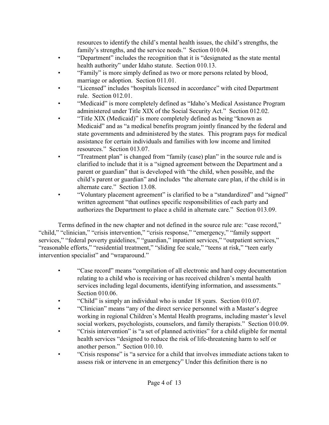resources to identify the child's mental health issues, the child's strengths, the family's strengths, and the service needs." Section 010.04.

- "Department" includes the recognition that it is "designated as the state mental health authority" under Idaho statute. Section 010.13.
- "Family" is more simply defined as two or more persons related by blood, marriage or adoption. Section 011.01.
- "Licensed" includes "hospitals licensed in accordance" with cited Department rule. Section 012.01.
- "Medicaid" is more completely defined as "Idaho's Medical Assistance Program administered under Title XIX of the Social Security Act." Section 012.02.
- "Title XIX (Medicaid)" is more completely defined as being "known as Medicaid" and as "a medical benefits program jointly financed by the federal and state governments and administered by the states. This program pays for medical assistance for certain individuals and families with low income and limited resources." Section 013.07
- "Treatment plan" is changed from "family (case) plan" in the source rule and is clarified to include that it is a "signed agreement between the Department and a parent or guardian" that is developed with "the child, when possible, and the child's parent or guardian" and includes "the alternate care plan, if the child is in alternate care." Section 13.08.
- "Voluntary placement agreement" is clarified to be a "standardized" and "signed" written agreement "that outlines specific responsibilities of each party and authorizes the Department to place a child in alternate care." Section 013.09.

Terms defined in the new chapter and not defined in the source rule are: "case record," "child," "clinician," "crisis intervention," "crisis response," "emergency," "family support services," "federal poverty guidelines," "guardian," inpatient services," "outpatient services," "reasonable efforts," "residential treatment," "sliding fee scale," "teens at risk," "teen early intervention specialist" and "wraparound."

- "Case record" means "compilation of all electronic and hard copy documentation relating to a child who is receiving or has received children's mental health services including legal documents, identifying information, and assessments." Section 010.06.
- "Child" is simply an individual who is under 18 years. Section 010.07.
- "Clinician" means "any of the direct service personnel with a Master's degree working in regional Children's Mental Health programs, including master's level social workers, psychologists, counselors, and family therapists." Section 010.09.
- "Crisis intervention" is "a set of planned activities" for a child eligible for mental health services "designed to reduce the risk of life-threatening harm to self or another person." Section 010.10.
- "Crisis response" is "a service for a child that involves immediate actions taken to assess risk or intervene in an emergency" Under this definition there is no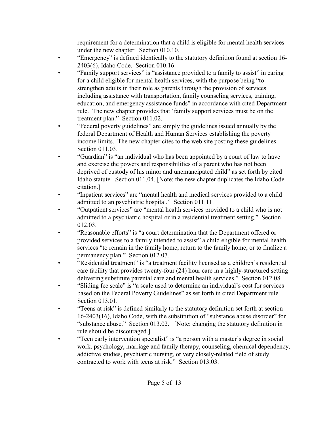requirement for a determination that a child is eligible for mental health services under the new chapter. Section 010.10.

- "Emergency" is defined identically to the statutory definition found at section 16- 2403(6), Idaho Code. Section 010.16.
- "Family support services" is "assistance provided to a family to assist" in caring for a child eligible for mental health services, with the purpose being "to strengthen adults in their role as parents through the provision of services including assistance with transportation, family counseling services, training, education, and emergency assistance funds" in accordance with cited Department rule. The new chapter provides that 'family support services must be on the treatment plan." Section 011.02.
- "Federal poverty guidelines" are simply the guidelines issued annually by the federal Department of Health and Human Services establishing the poverty income limits. The new chapter cites to the web site posting these guidelines. Section 011.03
- "Guardian" is "an individual who has been appointed by a court of law to have and exercise the powers and responsibilities of a parent who has not been deprived of custody of his minor and unemancipated child" as set forth by cited Idaho statute. Section 011.04. [Note: the new chapter duplicates the Idaho Code citation.]
- "Inpatient services" are "mental health and medical services provided to a child admitted to an psychiatric hospital." Section 011.11.
- "Outpatient services" are "mental health services provided to a child who is not admitted to a psychiatric hospital or in a residential treatment setting." Section 012.03.
- "Reasonable efforts" is "a court determination that the Department offered or provided services to a family intended to assist" a child eligible for mental health services "to remain in the family home, return to the family home, or to finalize a permanency plan." Section 012.07.
- "Residential treatment" is "a treatment facility licensed as a children's residential care facility that provides twenty-four (24) hour care in a highly-structured setting delivering substitute parental care and mental health services." Section 012.08.
- "Sliding fee scale" is "a scale used to determine an individual's cost for services based on the Federal Poverty Guidelines" as set forth in cited Department rule. Section 013.01.
- "Teens at risk" is defined similarly to the statutory definition set forth at section 16-2403(16), Idaho Code, with the substitution of "substance abuse disorder" for "substance abuse." Section 013.02. [Note: changing the statutory definition in rule should be discouraged.]
- "Teen early intervention specialist" is "a person with a master's degree in social work, psychology, marriage and family therapy, counseling, chemical dependency, addictive studies, psychiatric nursing, or very closely-related field of study contracted to work with teens at risk." Section 013.03.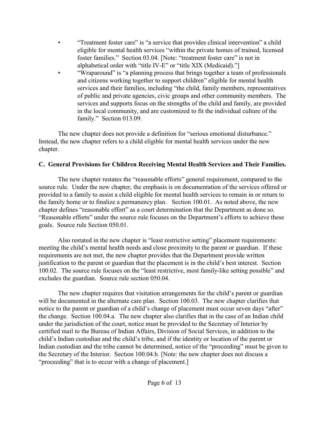- "Treatment foster care" is "a service that provides clinical intervention" a child eligible for mental health services "within the private homes of trained, licensed foster families." Section 03.04. [Note: "treatment foster care" is not in alphabetical order with "title IV-E" or "title XIX (Medicaid)."]
- "Wraparound" is "a planning process that brings together a team of professionals and citizens working together to support children" eligible for mental health services and their families, including "the child, family members, representatives of public and private agencies, civic groups and other community members. The services and supports focus on the strengths of the child and family, are provided in the local community, and are customized to fit the individual culture of the family." Section 013.09.

The new chapter does not provide a definition for "serious emotional disturbance." Instead, the new chapter refers to a child eligible for mental health services under the new chapter.

# **C. General Provisions for Children Receiving Mental Health Services and Their Families.**

The new chapter restates the "reasonable efforts" general requirement, compared to the source rule. Under the new chapter, the emphasis is on documentation of the services offered or provided to a family to assist a child eligible for mental health services to remain in or return to the family home or to finalize a permanency plan. Section 100.01. As noted above, the new chapter defines "reasonable effort" as a court determination that the Department as done so. "Reasonable efforts" under the source rule focuses on the Department's efforts to achieve these goals. Source rule Section 050.01.

Also restated in the new chapter is "least restrictive setting" placement requirements: meeting the child's mental health needs and close proximity to the parent or guardian. If these requirements are not met, the new chapter provides that the Department provide written justification to the parent or guardian that the placement is in the child's best interest. Section 100.02. The source rule focuses on the "least restrictive, most family-like setting possible" and excludes the guardian. Source rule section 050.04.

The new chapter requires that visitation arrangements for the child's parent or guardian will be documented in the alternate care plan. Section 100.03. The new chapter clarifies that notice to the parent or guardian of a child's change of placement must occur seven days "after" the change. Section 100.04.a. The new chapter also clarifies that in the case of an Indian child under the jurisdiction of the court, notice must be provided to the Secretary of Interior by certified mail to the Bureau of Indian Affairs, Division of Social Services, in addition to the child's Indian custodian and the child's tribe, and if the identity or location of the parent or Indian custodian and the tribe cannot be determined, notice of the "proceeding" must be given to the Secretary of the Interior. Section 100.04.b. [Note: the new chapter does not discuss a "proceeding" that is to occur with a change of placement.]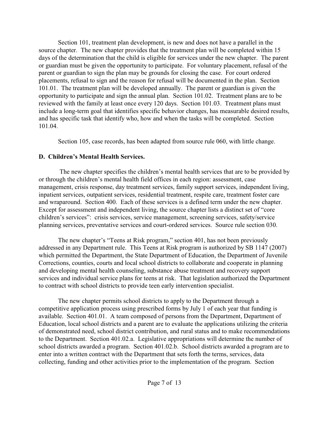Section 101, treatment plan development, is new and does not have a parallel in the source chapter. The new chapter provides that the treatment plan will be completed within 15 days of the determination that the child is eligible for services under the new chapter. The parent or guardian must be given the opportunity to participate. For voluntary placement, refusal of the parent or guardian to sign the plan may be grounds for closing the case. For court ordered placements, refusal to sign and the reason for refusal will be documented in the plan. Section 101.01. The treatment plan will be developed annually. The parent or guardian is given the opportunity to participate and sign the annual plan. Section 101.02. Treatment plans are to be reviewed with the family at least once every 120 days. Section 101.03. Treatment plans must include a long-term goal that identifies specific behavior changes, has measurable desired results, and has specific task that identify who, how and when the tasks will be completed. Section 101.04.

Section 105, case records, has been adapted from source rule 060, with little change.

# **D. Children's Mental Health Services.**

 The new chapter specifies the children's mental health services that are to be provided by or through the children's mental health field offices in each region: assessment, case management, crisis response, day treatment services, family support services, independent living, inpatient services, outpatient services, residential treatment, respite care, treatment foster care and wraparound. Section 400. Each of these services is a defined term under the new chapter. Except for assessment and independent living, the source chapter lists a distinct set of "core children's services": crisis services, service management, screening services, safety/service planning services, preventative services and court-ordered services. Source rule section 030.

The new chapter's "Teens at Risk program," section 401, has not been previously addressed in any Department rule. This Teens at Risk program is authorized by SB 1147 (2007) which permitted the Department, the State Department of Education, the Department of Juvenile Corrections, counties, courts and local school districts to collaborate and cooperate in planning and developing mental health counseling, substance abuse treatment and recovery support services and individual service plans for teens at risk. That legislation authorized the Department to contract with school districts to provide teen early intervention specialist.

The new chapter permits school districts to apply to the Department through a competitive application process using prescribed forms by July 1 of each year that funding is available. Section 401.01. A team composed of persons from the Department, Department of Education, local school districts and a parent are to evaluate the applications utilizing the criteria of demonstrated need, school district contribution, and rural status and to make recommendations to the Department. Section 401.02.a. Legislative appropriations will determine the number of school districts awarded a program. Section 401.02.b. School districts awarded a program are to enter into a written contract with the Department that sets forth the terms, services, data collecting, funding and other activities prior to the implementation of the program. Section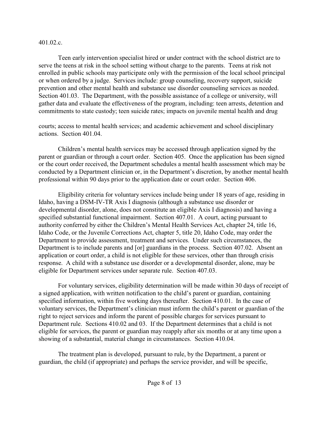401.02.c.

Teen early intervention specialist hired or under contract with the school district are to serve the teens at risk in the school setting without charge to the parents. Teens at risk not enrolled in public schools may participate only with the permission of the local school principal or when ordered by a judge. Services include: group counseling, recovery support, suicide prevention and other mental health and substance use disorder counseling services as needed. Section 401.03. The Department, with the possible assistance of a college or university, will gather data and evaluate the effectiveness of the program, including: teen arrests, detention and commitments to state custody; teen suicide rates; impacts on juvenile mental health and drug

courts; access to mental health services; and academic achievement and school disciplinary actions. Section 401.04.

Children's mental health services may be accessed through application signed by the parent or guardian or through a court order. Section 405. Once the application has been signed or the court order received, the Department schedules a mental health assessment which may be conducted by a Department clinician or, in the Department's discretion, by another mental health professional within 90 days prior to the application date or court order. Section 406.

Eligibility criteria for voluntary services include being under 18 years of age, residing in Idaho, having a DSM-IV-TR Axis I diagnosis (although a substance use disorder or developmental disorder, alone, does not constitute an eligible Axis I diagnosis) and having a specified substantial functional impairment. Section 407.01. A court, acting pursuant to authority conferred by either the Children's Mental Health Services Act, chapter 24, title 16, Idaho Code, or the Juvenile Corrections Act, chapter 5, title 20, Idaho Code, may order the Department to provide assessment, treatment and services. Under such circumstances, the Department is to include parents and [or] guardians in the process. Section 407.02. Absent an application or court order, a child is not eligible for these services, other than through crisis response. A child with a substance use disorder or a developmental disorder, alone, may be eligible for Department services under separate rule. Section 407.03.

For voluntary services, eligibility determination will be made within 30 days of receipt of a signed application, with written notification to the child's parent or guardian, containing specified information, within five working days thereafter. Section 410.01. In the case of voluntary services, the Department's clinician must inform the child's parent or guardian of the right to reject services and inform the parent of possible charges for services pursuant to Department rule. Sections 410.02 and 03. If the Department determines that a child is not eligible for services, the parent or guardian may reapply after six months or at any time upon a showing of a substantial, material change in circumstances. Section 410.04.

The treatment plan is developed, pursuant to rule, by the Department, a parent or guardian, the child (if appropriate) and perhaps the service provider, and will be specific,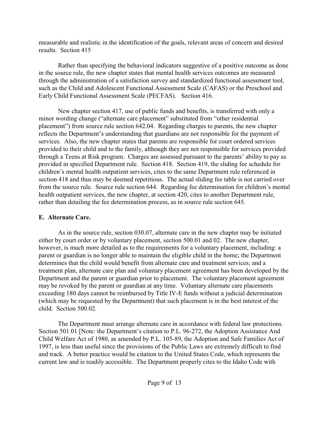measurable and realistic in the identification of the goals, relevant areas of concern and desired results. Section 415

Rather than specifying the behavioral indicators suggestive of a positive outcome as done in the source rule, the new chapter states that mental health services outcomes are measured through the administration of a satisfaction survey and standardized functional assessment tool, such as the Child and Adolescent Functional Assessment Scale (CAFAS) or the Preschool and Early Child Functional Assessment Scale (PECFAS). Section 416.

New chapter section 417, use of public funds and benefits, is transferred with only a minor wording change ("alternate care placement" substituted from "other residential placement") from source rule section 642.04. Regarding charges to parents, the new chapter reflects the Department's understanding that guardians are not responsible for the payment of services. Also, the new chapter states that parents are responsible for court ordered services provided to their child and to the family, although they are not responsible for services provided through a Teens at Risk program. Charges are assessed pursuant to the parents' ability to pay as provided in specified Department rule. Section 418. Section 419, the sliding fee schedule for children's mental health outpatient services, cites to the same Department rule referenced in section 418 and thus may be deemed repetitious. The actual sliding fee table is not carried over from the source rule. Source rule section 644. Regarding fee determination for children's mental health outpatient services, the new chapter, at section 420, cites to another Department rule, rather than detailing the fee determination process, as in source rule section 645.

# **E. Alternate Care.**

As in the source rule, section 030.07, alternate care in the new chapter may be initiated either by court order or by voluntary placement, section 500.01 and 02. The new chapter, however, is much more detailed as to the requirements for a voluntary placement, including: a parent or guardian is no longer able to maintain the eligible child in the home; the Department determines that the child would benefit from alternate care and treatment services; and a treatment plan, alternate care plan and voluntary placement agreement has been developed by the Department and the parent or guardian prior to placement. The voluntary placement agreement may be revoked by the parent or guardian at any time. Voluntary alternate care placements exceeding 180 days cannot be reimbursed by Title IV-E funds without a judicial determination (which may be requested by the Department) that such placement is in the best interest of the child. Section 500.02.

The Department must arrange alternate care in accordance with federal law protections. Section 501.01 [Note: the Department's citation to P.L. 96-272, the Adoption Assistance And Child Welfare Act of 1980, as amended by P.L. 105-89, the Adoption and Safe Families Act of 1997, is less than useful since the provisions of the Public Laws are extremely difficult to find and track. A better practice would be citation to the United States Code, which represents the current law and is readily accessible. The Department properly cites to the Idaho Code with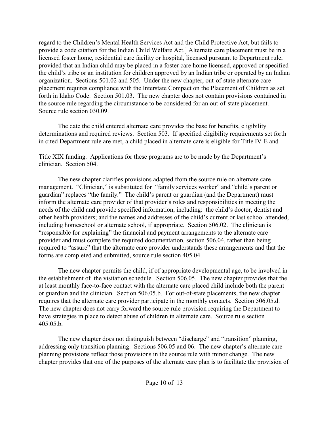regard to the Children's Mental Health Services Act and the Child Protective Act, but fails to provide a code citation for the Indian Child Welfare Act.] Alternate care placement must be in a licensed foster home, residential care facility or hospital, licensed pursuant to Department rule, provided that an Indian child may be placed in a foster care home licensed, approved or specified the child's tribe or an institution for children approved by an Indian tribe or operated by an Indian organization. Sections 501.02 and 505. Under the new chapter, out-of-state alternate care placement requires compliance with the Interstate Compact on the Placement of Children as set forth in Idaho Code. Section 501.03. The new chapter does not contain provisions contained in the source rule regarding the circumstance to be considered for an out-of-state placement. Source rule section 030.09.

The date the child entered alternate care provides the base for benefits, eligibility determinations and required reviews. Section 503. If specified eligibility requirements set forth in cited Department rule are met, a child placed in alternate care is eligible for Title IV-E and

Title XIX funding. Applications for these programs are to be made by the Department's clinician. Section 504.

The new chapter clarifies provisions adapted from the source rule on alternate care management. "Clinician," is substituted for "family services worker" and "child's parent or guardian" replaces "the family." The child's parent or guardian (and the Department) must inform the alternate care provider of that provider's roles and responsibilities in meeting the needs of the child and provide specified information, including: the child's doctor, dentist and other health providers; and the names and addresses of the child's current or last school attended, including homeschool or alternate school, if appropriate. Section 506.02. The clinician is "responsible for explaining" the financial and payment arrangements to the alternate care provider and must complete the required documentation, section 506.04, rather than being required to "assure" that the alternate care provider understands these arrangements and that the forms are completed and submitted, source rule section 405.04.

The new chapter permits the child, if of appropriate developmental age, to be involved in the establishment of the visitation schedule. Section 506.05. The new chapter provides that the at least monthly face-to-face contact with the alternate care placed child include both the parent or guardian and the clinician. Section 506.05.b. For out-of-state placements, the new chapter requires that the alternate care provider participate in the monthly contacts. Section 506.05.d. The new chapter does not carry forward the source rule provision requiring the Department to have strategies in place to detect abuse of children in alternate care. Source rule section 405.05.b.

The new chapter does not distinguish between "discharge" and "transition" planning, addressing only transition planning. Sections 506.05 and 06. The new chapter's alternate care planning provisions reflect those provisions in the source rule with minor change. The new chapter provides that one of the purposes of the alternate care plan is to facilitate the provision of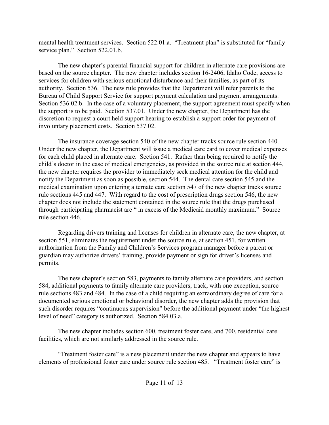mental health treatment services. Section 522.01.a. "Treatment plan" is substituted for "family service plan." Section 522.01.b.

The new chapter's parental financial support for children in alternate care provisions are based on the source chapter. The new chapter includes section 16-2406, Idaho Code, access to services for children with serious emotional disturbance and their families, as part of its authority. Section 536. The new rule provides that the Department will refer parents to the Bureau of Child Support Service for support payment calculation and payment arrangements. Section 536.02.b. In the case of a voluntary placement, the support agreement must specify when the support is to be paid. Section 537.01. Under the new chapter, the Department has the discretion to request a court held support hearing to establish a support order for payment of involuntary placement costs. Section 537.02.

The insurance coverage section 540 of the new chapter tracks source rule section 440. Under the new chapter, the Department will issue a medical care card to cover medical expenses for each child placed in alternate care. Section 541. Rather than being required to notify the child's doctor in the case of medical emergencies, as provided in the source rule at section 444, the new chapter requires the provider to immediately seek medical attention for the child and notify the Department as soon as possible, section 544. The dental care section 545 and the medical examination upon entering alternate care section 547 of the new chapter tracks source rule sections 445 and 447. With regard to the cost of prescription drugs section 546, the new chapter does not include the statement contained in the source rule that the drugs purchased through participating pharmacist are " in excess of the Medicaid monthly maximum." Source rule section 446.

Regarding drivers training and licenses for children in alternate care, the new chapter, at section 551, eliminates the requirement under the source rule, at section 451, for written authorization from the Family and Children's Services program manager before a parent or guardian may authorize drivers' training, provide payment or sign for driver's licenses and permits.

The new chapter's section 583, payments to family alternate care providers, and section 584, additional payments to family alternate care providers, track, with one exception, source rule sections 483 and 484. In the case of a child requiring an extraordinary degree of care for a documented serious emotional or behavioral disorder, the new chapter adds the provision that such disorder requires "continuous supervision" before the additional payment under "the highest level of need" category is authorized. Section 584.03.a.

The new chapter includes section 600, treatment foster care, and 700, residential care facilities, which are not similarly addressed in the source rule.

"Treatment foster care" is a new placement under the new chapter and appears to have elements of professional foster care under source rule section 485. "Treatment foster care" is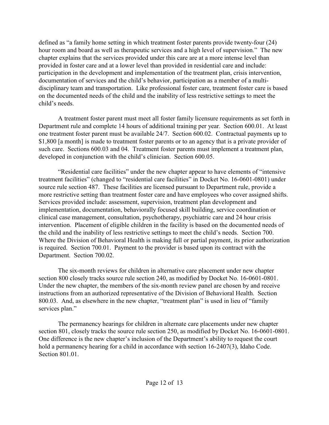defined as "a family home setting in which treatment foster parents provide twenty-four (24) hour room and board as well as therapeutic services and a high level of supervision." The new chapter explains that the services provided under this care are at a more intense level than provided in foster care and at a lower level than provided in residential care and include: participation in the development and implementation of the treatment plan, crisis intervention, documentation of services and the child's behavior, participation as a member of a multidisciplinary team and transportation. Like professional foster care, treatment foster care is based on the documented needs of the child and the inability of less restrictive settings to meet the child's needs.

A treatment foster parent must meet all foster family licensure requirements as set forth in Department rule and complete 14 hours of additional training per year. Section 600.01. At least one treatment foster parent must be available 24/7. Section 600.02. Contractual payments up to \$1,800 [a month] is made to treatment foster parents or to an agency that is a private provider of such care. Sections 600.03 and 04. Treatment foster parents must implement a treatment plan, developed in conjunction with the child's clinician. Section 600.05.

"Residential care facilities" under the new chapter appear to have elements of "intensive treatment facilities" (changed to "residential care facilities" in Docket No. 16-0601-0801) under source rule section 487. These facilities are licensed pursuant to Department rule, provide a more restrictive setting than treatment foster care and have employees who cover assigned shifts. Services provided include: assessment, supervision, treatment plan development and implementation, documentation, behaviorally focused skill building, service coordination or clinical case management, consultation, psychotherapy, psychiatric care and 24 hour crisis intervention. Placement of eligible children in the facility is based on the documented needs of the child and the inability of less restrictive settings to meet the child's needs. Section 700. Where the Division of Behavioral Health is making full or partial payment, its prior authorization is required. Section 700.01. Payment to the provider is based upon its contract with the Department. Section 700.02.

The six-month reviews for children in alternative care placement under new chapter section 800 closely tracks source rule section 240, as modified by Docket No. 16-0601-0801. Under the new chapter, the members of the six-month review panel are chosen by and receive instructions from an authorized representative of the Division of Behavioral Health. Section 800.03. And, as elsewhere in the new chapter, "treatment plan" is used in lieu of "family services plan."

The permanency hearings for children in alternate care placements under new chapter section 801, closely tracks the source rule section 250, as modified by Docket No. 16-0601-0801. One difference is the new chapter's inclusion of the Department's ability to request the court hold a permanency hearing for a child in accordance with section 16-2407(3), Idaho Code. Section 801.01.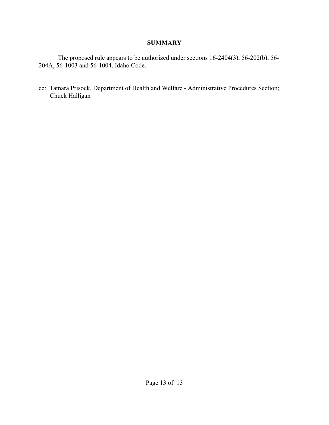# **SUMMARY**

The proposed rule appears to be authorized under sections 16-2404(3), 56-202(b), 56- 204A, 56-1003 and 56-1004, Idaho Code.

cc: Tamara Prisock, Department of Health and Welfare - Administrative Procedures Section; Chuck Halligan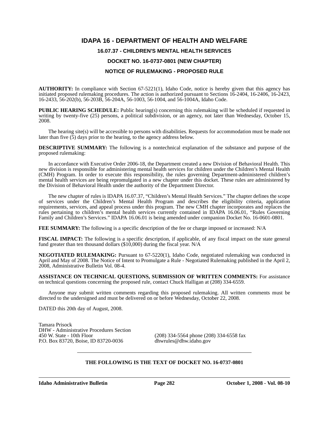# **IDAPA 16 - DEPARTMENT OF HEALTH AND WELFARE**

# **16.07.37 - CHILDREN'S MENTAL HEALTH SERVICES**

# **DOCKET NO. 16-0737-0801 (NEW CHAPTER)**

# **NOTICE OF RULEMAKING - PROPOSED RULE**

**AUTHORITY:** In compliance with Section 67-5221(1), Idaho Code, notice is hereby given that this agency has initiated proposed rulemaking procedures. The action is authorized pursuant to Sections 16-2404, 16-2406, 16-2423, 16-2433, 56-202(b), 56-203B, 56-204A, 56-1003, 56-1004, and 56-1004A, Idaho Code.

**PUBLIC HEARING SCHEDULE:** Public hearing(s) concerning this rulemaking will be scheduled if requested in writing by twenty-five (25) persons, a political subdivision, or an agency, not later than Wednesday, October 15, 2008.

The hearing site(s) will be accessible to persons with disabilities. Requests for accommodation must be made not later than five (5) days prior to the hearing, to the agency address below.

**DESCRIPTIVE SUMMARY:** The following is a nontechnical explanation of the substance and purpose of the proposed rulemaking:

In accordance with Executive Order 2006-18, the Department created a new Division of Behavioral Health. This new division is responsible for administering mental health services for children under the Children's Mental Health (CMH) Program. In order to execute this responsibility, the rules governing Department-administered children's mental health services are being repromulgated in a new chapter under this docket. These rules are administered by the Division of Behavioral Health under the authority of the Department Director.

The new chapter of rules is IDAPA 16.07.37, "Children's Mental Health Services." The chapter defines the scope of services under the Children's Mental Health Program and describes the eligibility criteria, application requirements, services, and appeal process under this program. The new CMH chapter incorporates and replaces the rules pertaining to children's mental health services currently contained in IDAPA 16.06.01, "Rules Governing Family and Children's Services." IDAPA 16.06.01 is being amended under companion Docket No. 16-0601-0801.

**FEE SUMMARY:** The following is a specific description of the fee or charge imposed or increased: N/A

**FISCAL IMPACT:** The following is a specific description, if applicable, of any fiscal impact on the state general fund greater than ten thousand dollars  $(\$10,000)$  during the fiscal year. N/A

**NEGOTIATED RULEMAKING:** Pursuant to 67-5220(1), Idaho Code, negotiated rulemaking was conducted in April and May of 2008. The Notice of Intent to Promulgate a Rule - Negotiated Rulemaking published in the April 2, 2008, Administrative Bulletin Vol. 08-4.

**ASSISTANCE ON TECHNICAL QUESTIONS, SUBMISSION OF WRITTEN COMMENTS:** For assistance on technical questions concerning the proposed rule, contact Chuck Halligan at (208) 334-6559.

Anyone may submit written comments regarding this proposed rulemaking. All written comments must be directed to the undersigned and must be delivered on or before Wednesday, October 22, 2008.

DATED this 20th day of August, 2008.

Tamara Prisock DHW - Administrative Procedures Section P.O. Box 83720, Boise, ID 83720-0036 dhwrules@dhw.idaho.gov

 $(208)$  334-5564 phone (208) 334-6558 fax

# **THE FOLLOWING IS THE TEXT OF DOCKET NO. 16-0737-0801**

**Idaho Administrative Bulletin Page 282 October 1, 2008 - Vol. 08-10**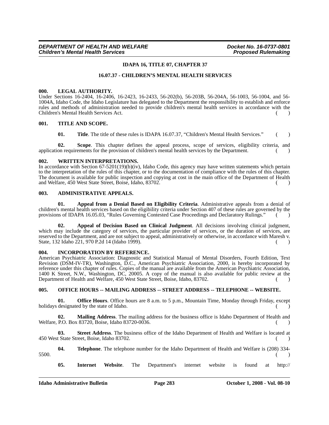#### **IDAPA 16, TITLE 07, CHAPTER 37**

#### **16.07.37 - CHILDREN'S MENTAL HEALTH SERVICES**

#### **000. LEGAL AUTHORITY.**

Under Sections 16-2404, 16-2406, 16-2423, 16-2433, 56-202(b), 56-203B, 56-204A, 56-1003, 56-1004, and 56- 1004A, Idaho Code, the Idaho Legislature has delegated to the Department the responsibility to establish and enforce rules and methods of administration needed to provide children's mental health services in accordance with the Children's Mental Health Services Act. ( )

#### **001. TITLE AND SCOPE.**

**01.** Title. The title of these rules is IDAPA 16.07.37, "Children's Mental Health Services." ()

**02. Scope**. This chapter defines the appeal process, scope of services, eligibility criteria, and application requirements for the provision of children's mental health services by the Department. ()

#### **002. WRITTEN INTERPRETATIONS.**

In accordance with Section 67-5201(19)(b)(iv), Idaho Code, this agency may have written statements which pertain to the interpretation of the rules of this chapter, or to the documentation of compliance with the rules of this chapter. The document is available for public inspection and copying at cost in the main office of the Department of Health and Welfare, 450 West State Street, Boise, Idaho, 83702.

#### **003. ADMINISTRATIVE APPEALS.**

**01. Appeal from a Denial Based on Eligibility Criteria**. Administrative appeals from a denial of children's mental health services based on the eligibility criteria under Section 407 of these rules are governed by the provisions of IDAPA 16.05.03, "Rules Governing Contested Case Proceedings and Declaratory Rulings." ()

**02. Appeal of Decision Based on Clinical Judgment**. All decisions involving clinical judgment, which may include the category of services, the particular provider of services, or the duration of services, are reserved to the Department, and are not subject to appeal, administratively or otherwise, in accordance with Maresh v. State, 132 Idaho 221, 970 P.2d 14 (Idaho 1999). ( )

#### **004. INCORPORATION BY REFERENCE.**

American Psychiatric Association: Diagnostic and Statistical Manual of Mental Disorders, Fourth Edition, Text Revision (DSM-IV-TR), Washington, D.C., American Psychiatric Association, 2000, is hereby incorporated by reference under this chapter of rules. Copies of the manual are available from the American Psychiatric Association, 1400 K Street, N.W., Washington, DC, 20005. A copy of the manual is also available for public review at the Department of Health and Welfare, 450 West State Street, Boise, Idaho, 83702. ( )

#### **005. OFFICE HOURS -- MAILING ADDRESS -- STREET ADDRESS -- TELEPHONE -- WEBSITE.**

**01. Office Hours**. Office hours are 8 a.m. to 5 p.m., Mountain Time, Monday through Friday, except holidays designated by the state of Idaho. ( )

**02. Mailing Address**. The mailing address for the business office is Idaho Department of Health and Welfare, P.O. Box 83720, Boise, Idaho 83720-0036.

**03. Street Address**. The business office of the Idaho Department of Health and Welfare is located at 450 West State Street, Boise, Idaho 83702. ( )

**04. Telephone**. The telephone number for the Idaho Department of Health and Welfare is (208) 334-  $5500.$  ( )

**05. Internet Website**. The Department's internet website is found at http://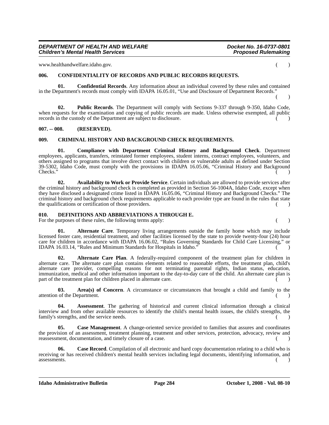#### *DEPARTMENT OF HEALTH AND WELFARE Docket No. 16-0737-0801 Children's Mental Health Services*

www.healthandwelfare.idaho.gov. ()

#### **006. CONFIDENTIALITY OF RECORDS AND PUBLIC RECORDS REQUESTS.**

**01. Confidential Records**. Any information about an individual covered by these rules and contained in the Department's records must comply with IDAPA 16.05.01, "Use and Disclosure of Department Records."  $($  )

**02. Public Records**. The Department will comply with Sections 9-337 through 9-350, Idaho Code, when requests for the examination and copying of public records are made. Unless otherwise exempted, all public records in the custody of the Department are subject to disclosure.

#### **007. -- 008. (RESERVED).**

#### **009. CRIMINAL HISTORY AND BACKGROUND CHECK REQUIREMENTS.**

**01. Compliance with Department Criminal History and Background Check**. Department employees, applicants, transfers, reinstated former employees, student interns, contract employees, volunteers, and others assigned to programs that involve direct contact with children or vulnerable adults as defined under Section 39-5302, Idaho Code, must comply with the provisions in IDAPA 16.05.06, "Criminal History and Background  $\blacksquare$  ( )  $\blacksquare$  ( )  $\blacksquare$ 

**02. Availability to Work or Provide Service**. Certain individuals are allowed to provide services after the criminal history and background check is completed as provided in Section 56-1004A, Idaho Code, except when they have disclosed a designated crime listed in IDAPA 16.05.06, "Criminal History and Background Checks." The criminal history and background check requirements applicable to each provider type are found in the rules that state the qualifications or certification of those providers. () ()

#### **010. DEFINITIONS AND ABBREVIATIONS A THROUGH E.**

For the purposes of these rules, the following terms apply: () ()

**01. Alternate Care**. Temporary living arrangements outside the family home which may include licensed foster care, residential treatment, and other facilities licensed by the state to provide twenty-four (24) hour care for children in accordance with IDAPA 16.06.02, "Rules Governing Standards for Child Care Licensing," or IDAPA 16.03.14, "Rules and Minimum Standards for Hospitals in Idaho." ( )

**02. Alternate Care Plan**. A federally-required component of the treatment plan for children in alternate care. The alternate care plan contains elements related to reasonable efforts, the treatment plan, child's alternate care provider, compelling reasons for not terminating parental rights, Indian status, education, immunization, medical and other information important to the day-to-day care of the child. An alternate care plan is part of the treatment plan for children placed in alternate care.

**03. Area(s) of Concern**. A circumstance or circumstances that brought a child and family to the  $\blacksquare$  attention of the Department.  $\blacksquare$ 

**04. Assessment**. The gathering of historical and current clinical information through a clinical interview and from other available resources to identify the child's mental health issues, the child's strengths, the family's strengths, and the service needs. () ()

**05. Case Management**. A change-oriented service provided to families that assures and coordinates the provision of an assessment, treatment planning, treatment and other services, protection, advocacy, review and reassessment, documentation, and timely closure of a case.  $($ )

**06.** Case Record. Compilation of all electronic and hard copy documentation relating to a child who is receiving or has received children's mental health services including legal documents, identifying information, and  $\blacksquare$ assessments.  $\begin{pmatrix} 0 & 1 \end{pmatrix}$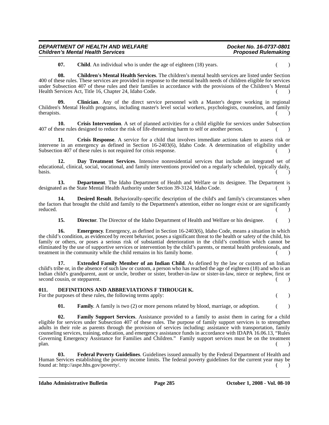| DEPARTMENT OF HEALTH AND WELFARE         | Docket No. 16-0737-0801    |
|------------------------------------------|----------------------------|
| <b>Children's Mental Health Services</b> | <b>Proposed Rulemaking</b> |

**07.** Child. An individual who is under the age of eighteen (18) years.

**08. Children's Mental Health Services**. The children's mental health services are listed under Section 400 of these rules. These services are provided in response to the mental health needs of children eligible for services under Subsection 407 of these rules and their families in accordance with the provisions of the Children's Mental Health Services Act, Title 16, Chapter 24, Idaho Code.

**09. Clinician**. Any of the direct service personnel with a Master's degree working in regional Children's Mental Health programs, including master's level social workers, psychologists, counselors, and family  $t$ herapists.  $($ )

**10.** Crisis Intervention. A set of planned activities for a child eligible for services under Subsection 407 of these rules designed to reduce the risk of life-threatening harm to self or another person. ( )

**11. Crisis Response**. A service for a child that involves immediate actions taken to assess risk or intervene in an emergency as defined in Section 16-2403(6), Idaho Code. A determination of eligibility under Subsection 407 of these rules is not required for crisis response. () ()

**12. Day Treatment Services**. Intensive nonresidential services that include an integrated set of educational, clinical, social, vocational, and family interventions provided on a regularly scheduled, typically daily, basis.  $($   $)$ 

**13. Department**. The Idaho Department of Health and Welfare or its designee. The Department is designated as the State Mental Health Authority under Section 39-3124, Idaho Code.

**14. Desired Result**. Behaviorally-specific description of the child's and family's circumstances when the factors that brought the child and family to the Department's attention, either no longer exist or are significantly reduced. reduced.  $($  )

**15. Director.** The Director of the Idaho Department of Health and Welfare or his designee. ()

**16. Emergency**. Emergency, as defined in Section 16-2403(6), Idaho Code, means a situation in which the child's condition, as evidenced by recent behavior, poses a significant threat to the health or safety of the child, his family or others, or poses a serious risk of substantial deterioration in the child's condition which cannot be eliminated by the use of supportive services or intervention by the child's parents, or mental health professionals, and treatment in the community while the child remains in his family home. () ()

**17. Extended Family Member of an Indian Child**. As defined by the law or custom of an Indian child's tribe or, in the absence of such law or custom, a person who has reached the age of eighteen (18) and who is an Indian child's grandparent, aunt or uncle, brother or sister, brother-in-law or sister-in-law, niece or nephew, first or second cousin, or stepparent. ( )

# **011. DEFINITIONS AND ABBREVIATIONS F THROUGH K.**

For the purposes of these rules, the following terms apply: () ()

**01. Family**. A family is two (2) or more persons related by blood, marriage, or adoption.  $($ 

**02. Family Support Services**. Assistance provided to a family to assist them in caring for a child eligible for services under Subsection 407 of these rules. The purpose of family support services is to strengthen adults in their role as parents through the provision of services including: assistance with transportation, family counseling services, training, education, and emergency assistance funds in accordance with IDAPA 16.06.13, "Rules Governing Emergency Assistance for Families and Children." Family support services must be on the treatment  $\mathsf{plan.}$  ( )

**03. Federal Poverty Guidelines**. Guidelines issued annually by the Federal Department of Health and Human Services establishing the poverty income limits. The federal poverty guidelines for the current year may be found at: http://aspe.hhs.gov/poverty/. ( )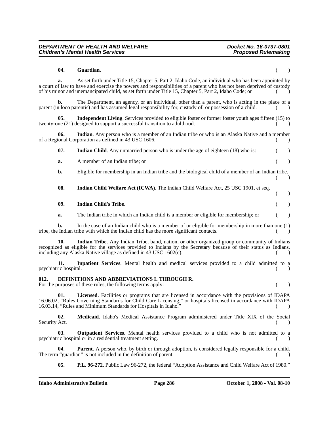# **04. Guardian**. ( ) **a.** As set forth under Title 15, Chapter 5, Part 2, Idaho Code, an individual who has been appointed by a court of law to have and exercise the powers and responsibilities of a parent who has not been deprived of custody of his minor and unemancipated child, as set forth under Title 15, Chapter 5, Part 2, Idaho Code; or ( ) **b.** The Department, an agency, or an individual, other than a parent, who is acting in the place of a parent (in loco parentis) and has assumed legal responsibility for, custody of, or possession of a child.  $($ **05.** Independent Living. Services provided to eligible foster or former foster youth ages fifteen (15) to twenty-one (21) designed to support a successful transition to adulthood. **06. Indian**. Any person who is a member of an Indian tribe or who is an Alaska Native and a member of a Regional Corporation as defined in 43 USC 1606. ( ) **07.** Indian Child. Any unmarried person who is under the age of eighteen (18) who is:  $\qquad \qquad$  () **a.** A member of an Indian tribe; or  $($ ) **b.** Eligible for membership in an Indian tribe and the biological child of a member of an Indian tribe. ( ) **08. Indian Child Welfare Act (ICWA)**. The Indian Child Welfare Act, 25 USC 1901, et seq. ( ) **09. Indian Child's Tribe**. ( ) **a.** The Indian tribe in which an Indian child is a member or eligible for membership; or  $($ ) **b.** In the case of an Indian child who is a member of or eligible for membership in more than one (1) tribe, the Indian tribe with which the Indian child has the more significant contacts. ( ) **10. Indian Tribe**. Any Indian Tribe, band, nation, or other organized group or community of Indians recognized as eligible for the services provided to Indians by the Secretary because of their status as Indians, including any Alaska Native village as defined in  $43 \text{ USC } 1602(c)$ . **11. Inpatient Services**. Mental health and medical services provided to a child admitted to a psychiatric hospital. (a) a set of the system of the system of the system of the system of the system of the system of the system of the system of the system of the system of the system of the system of the system of the s **012. DEFINITIONS AND ABBREVIATIONS L THROUGH R.** For the purposes of these rules, the following terms apply: () () **01. Licensed**. Facilities or programs that are licensed in accordance with the provisions of IDAPA 16.06.02, "Rules Governing Standards for Child Care Licensing," or hospitals licensed in accordance with IDAPA 16.03.14, "Rules and Minimum Standards for Hospitals in Idaho." ( )

**02. Medicaid**. Idaho's Medical Assistance Program administered under Title XIX of the Social Security Act. (a)

**03. Outpatient Services**. Mental health services provided to a child who is not admitted to a psychiatric hospital or in a residential treatment setting. ( )

**04. Parent**. A person who, by birth or through adoption, is considered legally responsible for a child. The term "guardian" is not included in the definition of parent. () ()

**05. P.L. 96-272**. Public Law 96-272, the federal "Adoption Assistance and Child Welfare Act of 1980."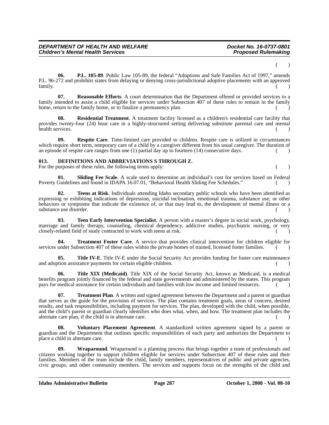( )

**06. P.L. 105-89**. Public Law 105-89, the federal "Adoptions and Safe Families Act of 1997," amends P.L. 96-272 and prohibits states from delaying or denying cross-jurisdictional adoptive placements with an approved  $f_{\text{amily.}}$  (b)  $\left( \begin{array}{c} 0 \\ 0 \end{array} \right)$ 

**07. Reasonable Efforts**. A court determination that the Department offered or provided services to a family intended to assist a child eligible for services under Subsection 407 of these rules to remain in the family home, return to the family home, or to finalize a permanency plan.

**08. Residential Treatment**. A treatment facility licensed as a children's residential care facility that provides twenty-four (24) hour care in a highly-structured setting delivering substitute parental care and mental health services. (a) and the services of the services of the services of the services of the services of the services of the services of the services of the services of the services of the services of the services of the s

**09. Respite Care**. Time-limited care provided to children. Respite care is utilized in circumstances which require short term, temporary care of a child by a caregiver different from his usual caregiver. The duration of an episode of respite care ranges from one (1) partial day up to fourteen (14) consecutive days. ()

#### **013. DEFINITIONS AND ABBREVIATIONS S THROUGH Z.**

For the purposes of these rules, the following terms apply: () ()

**01. Sliding Fee Scale**. A scale used to determine an individual's cost for services based on Federal Poverty Guidelines and found in IDAPA 16.07.01, "Behavioral Health Sliding Fee Schedules." ()

**02. Teens at Risk**. Individuals attending Idaho secondary public schools who have been identified as expressing or exhibiting indications of depression, suicidal inclination, emotional trauma, substance use, or other behaviors or symptoms that indicate the existence of, or that may lead to, the development of mental illness or a substance use disorder.

**03. Teen Early Intervention Specialist**. A person with a master's degree in social work, psychology, marriage and family therapy, counseling, chemical dependency, addictive studies, psychiatric nursing, or very closely-related field of study contracted to work with teens at risk.

**04. Treatment Foster Care**. A service that provides clinical intervention for children eligible for services under Subsection 407 of these rules within the private homes of trained, licensed foster families.  $\sim$  ()

**05.** Title IV-E. Title IV-E under the Social Security Act provides funding for foster care maintenance and adoption assistance payments for certain eligible children. () ()

**06. Title XIX (Medicaid)**. Title XIX of the Social Security Act, known as Medicaid, is a medical benefits program jointly financed by the federal and state governments and administered by the states. This program pays for medical assistance for certain individuals and families with low income and limited resources. ( )

**07. Treatment Plan**. A written and signed agreement between the Department and a parent or guardian that serves as the guide for the provision of services. The plan contains treatment goals, areas of concern, desired results, and task responsibilities, including payment for services. The plan, developed with the child, when possible, and the child's parent or guardian clearly identifies who does what, when, and how. The treatment plan includes the alternate care plan, if the child is in alternate care. () ()

**08. Voluntary Placement Agreement**. A standardized written agreement signed by a parent or guardian and the Department that outlines specific responsibilities of each party and authorizes the Department to place a child in alternate care.

**09.** Wraparound. Wraparound is a planning process that brings together a team of professionals and citizens working together to support children eligible for services under Subsection 407 of these rules and their families. Members of the team include the child, family members, representatives of public and private agencies, civic groups, and other community members. The services and supports focus on the strengths of the child and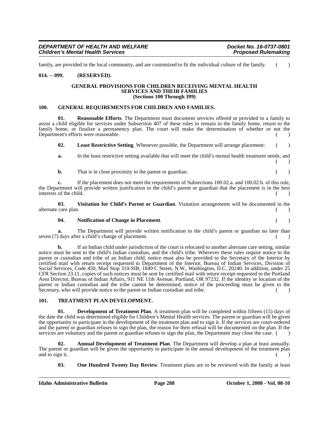family, are provided in the local community, and are customized to fit the individual culture of the family.  $($ 

# **014. -- 099. (RESERVED).**

#### **GENERAL PROVISIONS FOR CHILDREN RECEIVING MENTAL HEALTH SERVICES AND THEIR FAMILIES (Sections 100 Through 399)**

#### **100. GENERAL REQUIREMENTS FOR CHILDREN AND FAMILIES.**

**01. Reasonable Efforts**. The Department must document services offered or provided to a family to assist a child eligible for services under Subsection 407 of these rules to remain in the family home, return to the family home, or finalize a permanency plan. The court will make the determination of whether or not the Department's efforts were reasonable. ( )

**02. Least Restrictive Setting**. Whenever possible, the Department will arrange placement: ( )

**a.** In the least restrictive setting available that will meet the child's mental health treatment needs; and  $($ 

**b.** That is in close proximity to the parent or guardian. ( )

**c.** If the placement does not meet the requirements of Subsections 100.02.a. and 100.02.b. of this rule, the Department will provide written justification to the child's parent or guardian that the placement is in the best interests of the child. ( )

**03. Visitation for Child's Parent or Guardian**. Visitation arrangements will be documented in the alternate care plan. () ()

#### **04. Notification of Change in Placement**. ( )

**a.** The Department will provide written notification to the child's parent or guardian no later than seven (7) days after a child's change of placement. ( )

**b.** If an Indian child under jurisdiction of the court is relocated to another alternate care setting, similar notice must be sent to the child's Indian custodian, and the child's tribe. Wherever these rules require notice to the parent or custodian and tribe of an Indian child, notice must also be provided to the Secretary of the Interior by certified mail with return receipt requested to Department of the Interior, Bureau of Indian Services, Division of Social Services, Code 450, Mail Stop 310-SIB, 1849 C Street, N.W., Washington, D.C. 20240. In addition, under 25 CFR Section 23.11, copies of such notices must be sent by certified mail with return receipt requested to the Portland Area Director, Bureau of Indian Affairs, 911 NE 11th Avenue, Portland, OR 97232. If the identity or location of the parent or Indian custodian and the tribe cannot be determined, notice of the proceeding must be given to the Secretary, who will provide notice to the parent or Indian custodian and tribe.

# **101. TREATMENT PLAN DEVELOPMENT.**

**01. Development of Treatment Plan**. A treatment plan will be completed within fifteen (15) days of the date the child was determined eligible for Children's Mental Health services. The parent or guardian will be given the opportunity to participate in the development of the treatment plan and to sign it. If the services are court-ordered and the parent or guardian refuses to sign the plan, the reason for their refusal will be documented on the plan. If the services are voluntary and the parent or guardian refuses to sign the plan, the Department may close the case. (

**02. Annual Development of Treatment Plan**. The Department will develop a plan at least annually. The parent or guardian will be given the opportunity to participate in the annual development of the treatment plan and to sign it.  $( )$ 

**03.** One Hundred Twenty Day Review. Treatment plans are to be reviewed with the family at least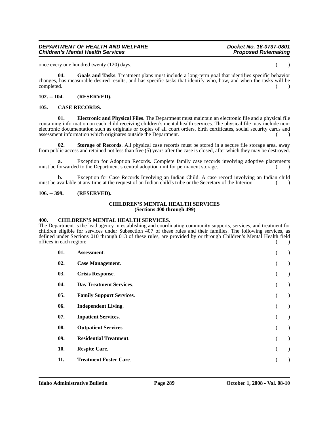### *DEPARTMENT OF HEALTH AND WELFARE Docket No. 16-0737-0801* **Children's Mental Health Services**

once every one hundred twenty (120) days. ( )

**04. Goals and Tasks**. Treatment plans must include a long-term goal that identifies specific behavior changes, has measurable desired results, and has specific tasks that identify who, how, and when the tasks will be completed. (a) and the contract of the contract of the contract of the contract of the contract of the contract of the contract of the contract of the contract of the contract of the contract of the contract of the contrac

# **102. -- 104. (RESERVED).**

# **105. CASE RECORDS.**

**01. Electronic and Physical Files**. The Department must maintain an electronic file and a physical file containing information on each child receiving children's mental health services. The physical file may include nonelectronic documentation such as originals or copies of all court orders, birth certificates, social security cards and assessment information which originates outside the Department. () ()

**02. Storage of Records**. All physical case records must be stored in a secure file storage area, away from public access and retained not less than five (5) years after the case is closed, after which they may be destroyed.

**a.** Exception for Adoption Records. Complete family case records involving adoptive placements must be forwarded to the Department's central adoption unit for permanent storage.

**b.** Exception for Case Records Involving an Indian Child. A case record involving an Indian child must be available at any time at the request of an Indian child's tribe or the Secretary of the Interior. ()

# **106. -- 399. (RESERVED).**

#### **CHILDREN'S MENTAL HEALTH SERVICES (Sections 400 through 499)**

## **400. CHILDREN'S MENTAL HEALTH SERVICES.**

The Department is the lead agency in establishing and coordinating community supports, services, and treatment for children eligible for services under Subsection 407 of these rules and their families. The following services, as defined under Sections 010 through 013 of these rules, are provided by or through Children's Mental Health field offices in each region: ( )

| 01. | Assessment.                     |  |
|-----|---------------------------------|--|
| 02. | <b>Case Management.</b>         |  |
| 03. | <b>Crisis Response.</b>         |  |
| 04. | Day Treatment Services.         |  |
| 05. | <b>Family Support Services.</b> |  |
| 06. | <b>Independent Living.</b>      |  |
| 07. | <b>Inpatient Services.</b>      |  |
| 08. | <b>Outpatient Services.</b>     |  |
| 09. | <b>Residential Treatment.</b>   |  |
| 10. | <b>Respite Care.</b>            |  |
| 11. | <b>Treatment Foster Care.</b>   |  |
|     |                                 |  |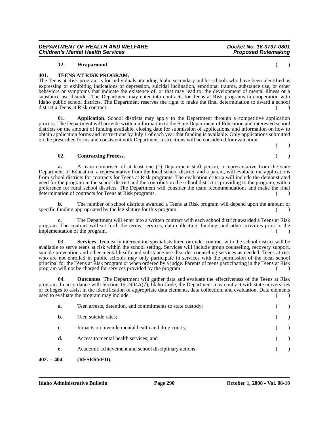# **12. Wraparound**. ( )

*Children's Mental Health Services* 

# **401. TEENS AT RISK PROGRAM.**

The Teens at Risk program is for individuals attending Idaho secondary public schools who have been identified as expressing or exhibiting indications of depression, suicidal inclination, emotional trauma, substance use, or other behaviors or symptoms that indicate the existence of, or that may lead to, the development of mental illness or a substance use disorder. The Department may enter into contracts for Teens at Risk programs in cooperation with Idaho public school districts. The Department reserves the right to make the final determination to award a school district a Teens at Risk contract. (a)

**01.** Application. School districts may apply to the Department through a competitive application process. The Department will provide written information to the State Department of Education and interested school districts on the amount of funding available, closing date for submission of applications, and information on how to obtain application forms and instructions by July 1 of each year that funding is available. Only applications submitted on the prescribed forms and consistent with Department instructions will be considered for evaluation.

#### **02. Contracting Process**. ( )

**a.** A team comprised of at least one (1) Department staff person, a representative from the state Department of Education, a representative from the local school district, and a parent, will evaluate the applications from school districts for contracts for Teens at Risk programs. The evaluation criteria will include the demonstrated need for the program in the school district and the contribution the school district is providing to the program, with a preference for rural school districts. The Department will consider the team recommendations and make the final determination of contracts for Teens at Risk programs. () ()

**b.** The number of school districts awarded a Teens at Risk program will depend upon the amount of specific funding appropriated by the legislature for this program. ( )

**c.** The Department will enter into a written contract with each school district awarded a Teens at Risk program. The contract will set forth the terms, services, data collecting, funding, and other activities prior to the implementation of the program.

**03. Services**. Teen early intervention specialists hired or under contract with the school district will be available to serve teens at risk within the school setting. Services will include group counseling, recovery support, suicide prevention and other mental health and substance use disorder counseling services as needed. Teens at risk who are not enrolled in public schools may only participate in services with the permission of the local school principal for the Teens at Risk program or when ordered by a judge. Parents of teens participating in the Teens at Risk program will not be charged for services provided by the program.

**04. Outcomes**. The Department will gather data and evaluate the effectiveness of the Teens at Risk program. In accordance with Section 16-2404A(7), Idaho Code, the Department may contract with state universities or colleges to assist in the identification of appropriate data elements, data collection, and evaluation. Data elements used to evaluate the program may include: ( )

| $402. - 404.$ | (RESERVED).                                                |  |  |
|---------------|------------------------------------------------------------|--|--|
| e.            | Academic achievement and school disciplinary actions.      |  |  |
| d.            | Access to mental health services; and                      |  |  |
| c.            | Impacts on juvenile mental health and drug courts;         |  |  |
| b.            | Teen suicide rates;                                        |  |  |
| a.            | Teen arrests, detention, and commitments to state custody; |  |  |

 $($  )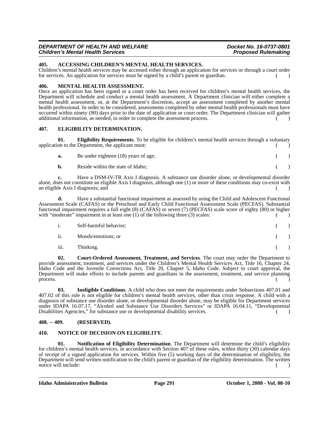#### *DEPARTMENT OF HEALTH AND WELFARE Docket No. 16-0737-0801 Children's Mental Health Services*

# **405. ACCESSING CHILDREN'S MENTAL HEALTH SERVICES.**

Children's mental health services may be accessed either through an application for services or through a court order for services. An application for services must be signed by a child's parent or guardian. ( )

#### **406. MENTAL HEALTH ASSESSMENT.**

Once an application has been signed or a court order has been received for children's mental health services, the Department will schedule and conduct a mental health assessment. A Department clinician will either complete a mental health assessment, or, at the Department's discretion, accept an assessment completed by another mental health professional. In order to be considered, assessments completed by other mental health professionals must have occurred within ninety (90) days prior to the date of application or court order. The Department clinician will gather additional information, as needed, in order to complete the assessment process.  $\left( \right)$ 

# **407. ELIGIBILITY DETERMINATION.**

**01. Eligibility Requirements**. To be eligible for children's mental health services through a voluntary application to the Department, the applicant must:  $\sim$  (

| a.             | Be under eighteen (18) years of age; |  |
|----------------|--------------------------------------|--|
| $\mathbf{b}$ . | Reside within the state of Idaho:    |  |

**c.** Have a DSM-IV-TR Axis I diagnosis. A substance use disorder alone, or developmental disorder alone, does not constitute an eligible Axis I diagnosis, although one (1) or more of these conditions may co-exist with an eligible Axis I diagnosis; and ( )

**d.** Have a substantial functional impairment as assessed by using the Child and Adolescent Functional Assessment Scale (CAFAS) or the Preschool and Early Child Functional Assessment Scale (PECFAS). Substantial functional impairment requires a full eight (8) (CAFAS) or seven (7) (PECFAS) scale score of eighty (80) or higher with "moderate" impairment in at least one (1) of the following three (3) scales:  $($ 

|                           | Self-harmful behavior; |  |
|---------------------------|------------------------|--|
| $\overline{\mathbf{u}}$ . | Moods/emotions; or     |  |
| iii.                      | Thinking.              |  |

**02. Court-Ordered Assessment, Treatment, and Services**. The court may order the Department to provide assessment, treatment, and services under the Children's Mental Health Services Act, Title 16, Chapter 24, Idaho Code and the Juvenile Corrections Act, Title 20, Chapter 5, Idaho Code. Subject to court approval, the Department will make efforts to include parents and guardians in the assessment, treatment, and service planning process.  $\qquad \qquad ( )$ 

**03. Ineligible Conditions**. A child who does not meet the requirements under Subsections 407.01 and 407.02 of this rule is not eligible for children's mental health services, other than crisis response. A child with a diagnosis of substance use disorder alone, or developmental disorder alone, may be eligible for Department services under IDAPA 16.07.17, "Alcohol and Substance Use Disorders Services" or IDAPA 16.04.11, "Developmental Disabilities Agencies," for substance use or developmental disability services. ()

# **408. -- 409. (RESERVED).**

# **410. NOTICE OF DECISION ON ELIGIBILITY.**

**01. Notification of Eligibility Determination**. The Department will determine the child's eligibility for children's mental health services, in accordance with Section 407 of these rules, within thirty (30) calendar days of receipt of a signed application for services. Within five (5) working days of the determination of eligibility, the Department will send written notification to the child's parent or guardian of the eligibility determination. The written notice will include: () ()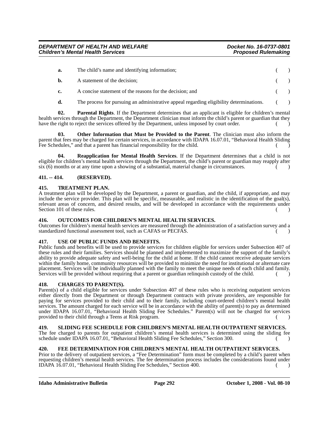| а.        | The child's name and identifying information;                                           |         |  |
|-----------|-----------------------------------------------------------------------------------------|---------|--|
| <b>b.</b> | A statement of the decision:                                                            |         |  |
| c.        | A concise statement of the reasons for the decision; and                                |         |  |
| d.        | The process for pursuing an administrative appeal regarding eligibility determinations. | $($ $)$ |  |

**02. Parental Rights**. If the Department determines that an applicant is eligible for children's mental health services through the Department, the Department clinician must inform the child's parent or guardian that they have the right to reject the services offered by the Department, unless imposed by court order.

**03. Other Information that Must be Provided to the Parent**. The clinician must also inform the parent that fees may be charged for certain services, in accordance with IDAPA 16.07.01, "Behavioral Health Sliding Fee Schedules," and that a parent has financial responsibility for the child.

**04. Reapplication for Mental Health Services**. If the Department determines that a child is not eligible for children's mental health services through the Department, the child's parent or guardian may reapply after  $\sin(6)$  months or at any time upon a showing of a substantial, material change in circumstances.

# **411. -- 414. (RESERVED).**

# **415. TREATMENT PLAN.**

A treatment plan will be developed by the Department, a parent or guardian, and the child, if appropriate, and may include the service provider. This plan will be specific, measurable, and realistic in the identification of the goal(s), relevant areas of concern, and desired results, and will be developed in accordance with the requirements under Section 101 of these rules. ( )

# **416. OUTCOMES FOR CHILDREN'S MENTAL HEALTH SERVICES.**

Outcomes for children's mental health services are measured through the administration of a satisfaction survey and a standardized functional assessment tool, such as CAFAS or PECFAS.

# **417. USE OF PUBLIC FUNDS AND BENEFITS.**

Public funds and benefits will be used to provide services for children eligible for services under Subsection 407 of these rules and their families. Services should be planned and implemented to maximize the support of the family's ability to provide adequate safety and well-being for the child at home. If the child cannot receive adequate services within the family home, community resources will be provided to minimize the need for institutional or alternate care placement. Services will be individually planned with the family to meet the unique needs of each child and family. Services will be provided without requiring that a parent or guardian relinquish custody of the child. ()

# **418. CHARGES TO PARENT(S).**

Parent(s) of a child eligible for services under Subsection 407 of these rules who is receiving outpatient services either directly from the Department or through Department contracts with private providers, are responsible for paying for services provided to their child and to their family, including court-ordered children's mental health services. The amount charged for each service will be in accordance with the ability of parent(s) to pay as determined under IDAPA 16.07.01, "Behavioral Health Sliding Fee Schedules." Parent(s) will not be charged for services provided to their child through a Teens at Risk program. () ()

# **419. SLIDING FEE SCHEDULE FOR CHILDREN'S MENTAL HEALTH OUTPATIENT SERVICES.**

The fee charged to parents for outpatient children's mental health services is determined using the sliding fee schedule under IDAPA 16.07.01, "Behavioral Health Sliding Fee Schedules," Section 300. ( )

# **420. FEE DETERMINATION FOR CHILDREN'S MENTAL HEALTH OUTPATIENT SERVICES.**

Prior to the delivery of outpatient services, a "Fee Determination" form must be completed by a child's parent when requesting children's mental health services. The fee determination process includes the considerations found under IDAPA 16.07.01, "Behavioral Health Sliding Fee Schedules," Section 400. ( )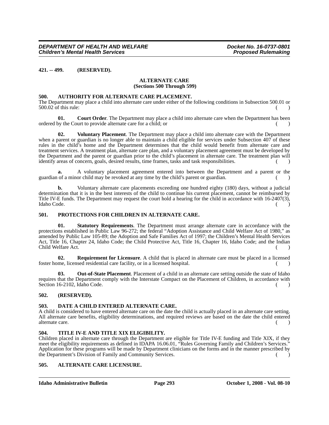**421. -- 499. (RESERVED).**

#### **ALTERNATE CARE (Sections 500 Through 599)**

#### **500. AUTHORITY FOR ALTERNATE CARE PLACEMENT.**

The Department may place a child into alternate care under either of the following conditions in Subsection 500.01 or  $500.02$  of this rule: ()

**01.** Court Order. The Department may place a child into alternate care when the Department has been ordered by the Court to provide alternate care for a child; or ( )

**02. Voluntary Placement**. The Department may place a child into alternate care with the Department when a parent or guardian is no longer able to maintain a child eligible for services under Subsection 407 of these rules in the child's home and the Department determines that the child would benefit from alternate care and treatment services. A treatment plan, alternate care plan, and a voluntary placement agreement must be developed by the Department and the parent or guardian prior to the child's placement in alternate care. The treatment plan will identify areas of concern, goals, desired results, time frames, tasks and task responsibilities.

**a.** A voluntary placement agreement entered into between the Department and a parent or the guardian of a minor child may be revoked at any time by the child's parent or guardian.

**b.** Voluntary alternate care placements exceeding one hundred eighty (180) days, without a judicial determination that it is in the best interests of the child to continue his current placement, cannot be reimbursed by Title IV-E funds. The Department may request the court hold a hearing for the child in accordance with 16-2407(3), Idaho Code. ( )

#### **501. PROTECTIONS FOR CHILDREN IN ALTERNATE CARE.**

**01. Statutory Requirements**. The Department must arrange alternate care in accordance with the protections established in Public Law 96-272; the federal "Adoption Assistance and Child Welfare Act of 1980," as amended by Public Law 105-89; the Adoption and Safe Families Act of 1997; the Children's Mental Health Services Act, Title 16, Chapter 24, Idaho Code; the Child Protective Act, Title 16, Chapter 16, Idaho Code; and the Indian Child Welfare Act. (a)

**02. Requirement for Licensure**. A child that is placed in alternate care must be placed in a licensed foster home, licensed residential care facility, or in a licensed hospital. ( )

**03.** Out-of-State Placement. Placement of a child in an alternate care setting outside the state of Idaho requires that the Department comply with the Interstate Compact on the Placement of Children, in accordance with Section 16-2102, Idaho Code. ( )

# **502. (RESERVED).**

#### **503. DATE A CHILD ENTERED ALTERNATE CARE.**

A child is considered to have entered alternate care on the date the child is actually placed in an alternate care setting. All alternate care benefits, eligibility determinations, and required reviews are based on the date the child entered alternate care. (a)

# **504. TITLE IV-E AND TITLE XIX ELIGIBILITY.**

Children placed in alternate care through the Department are eligible for Title IV-E funding and Title XIX, if they meet the eligibility requirements as defined in IDAPA 16.06.01, "Rules Governing Family and Children's Services." Application for these programs will be made by Department clinicians on the forms and in the manner prescribed by the Department's Division of Family and Community Services.

# **505. ALTERNATE CARE LICENSURE.**

**Idaho Administrative Bulletin Page 293 October 1, 2008 - Vol. 08-10**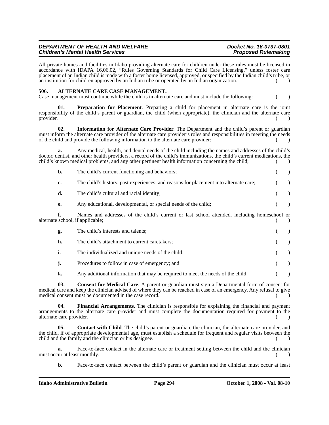# *DEPARTMENT OF HEALTH AND WELFARE Docket No. 16-0737-0801 Children's Mental Health Services*

All private homes and facilities in Idaho providing alternate care for children under these rules must be licensed in accordance with IDAPA 16.06.02, "Rules Governing Standards for Child Care Licensing," unless foster care placement of an Indian child is made with a foster home licensed, approved, or specified by the Indian child's tribe, or an institution for children approved by an Indian tribe or operated by an Indian organization. ()

#### **506. ALTERNATE CARE CASE MANAGEMENT.**

Case management must continue while the child is in alternate care and must include the following: ( )

**01. Preparation for Placement**. Preparing a child for placement in alternate care is the joint responsibility of the child's parent or guardian, the child (when appropriate), the clinician and the alternate care provider. provider. (a) and the contract of the contract of the contract of the contract of the contract of the contract of the contract of the contract of the contract of the contract of the contract of the contract of the contract

**02. Information for Alternate Care Provider**. The Department and the child's parent or guardian must inform the alternate care provider of the alternate care provider's roles and responsibilities in meeting the needs of the child and provide the following information to the alternate care provider: ( )

**a.** Any medical, health, and dental needs of the child including the names and addresses of the child's doctor, dentist, and other health providers, a record of the child's immunizations, the child's current medications, the child's known medical problems, and any other pertinent health information concerning the child; ( )

| $\mathbf{b}$ . | The child's current functioning and behaviors;                                                                                                                                                                                                                                        |  |
|----------------|---------------------------------------------------------------------------------------------------------------------------------------------------------------------------------------------------------------------------------------------------------------------------------------|--|
| c.             | The child's history, past experiences, and reasons for placement into alternate care;                                                                                                                                                                                                 |  |
| d.             | The child's cultural and racial identity;                                                                                                                                                                                                                                             |  |
| e.             | Any educational, developmental, or special needs of the child;                                                                                                                                                                                                                        |  |
| f.             | Names and addresses of the child's current or last school attended, including homeschool or<br>alternate school, if applicable;                                                                                                                                                       |  |
| g.             | The child's interests and talents;                                                                                                                                                                                                                                                    |  |
| h.             | The child's attachment to current caretakers;                                                                                                                                                                                                                                         |  |
| i.             | The individualized and unique needs of the child;                                                                                                                                                                                                                                     |  |
| j.             | Procedures to follow in case of emergency; and                                                                                                                                                                                                                                        |  |
| k.             | Any additional information that may be required to meet the needs of the child.                                                                                                                                                                                                       |  |
| 03.            | <b>Consent for Medical Care.</b> A parent or guardian must sign a Departmental form of consent for<br>medical care and keep the clinician advised of where they can be reached in case of an emergency. Any refusal to give<br>medical consent must be documented in the case record. |  |

**04. Financial Arrangements**. The clinician is responsible for explaining the financial and payment arrangements to the alternate care provider and must complete the documentation required for payment to the alternate care provider. (a)

**05.** Contact with Child. The child's parent or guardian, the clinician, the alternate care provider, and the child, if of appropriate developmental age, must establish a schedule for frequent and regular visits between the child and the family and the clinician or his designee. () ()

**a.** Face-to-face contact in the alternate care or treatment setting between the child and the clinician must occur at least monthly. () and  $\left( \begin{array}{c} 1 \end{array} \right)$ 

**b.** Face-to-face contact between the child's parent or guardian and the clinician must occur at least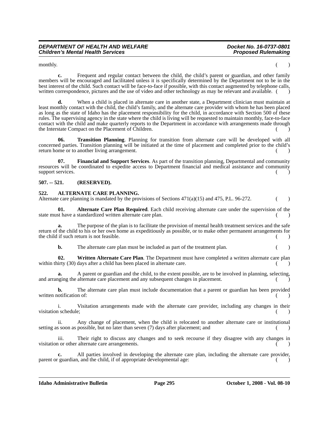monthly.  $($ )

**c.** Frequent and regular contact between the child, the child's parent or guardian, and other family members will be encouraged and facilitated unless it is specifically determined by the Department not to be in the best interest of the child. Such contact will be face-to-face if possible, with this contact augmented by telephone calls, written correspondence, pictures and the use of video and other technology as may be relevant and available. (

**d.** When a child is placed in alternate care in another state, a Department clinician must maintain at least monthly contact with the child, the child's family, and the alternate care provider with whom he has been placed as long as the state of Idaho has the placement responsibility for the child, in accordance with Section 500 of these rules. The supervising agency in the state where the child is living will be requested to maintain monthly, face-to-face contact with the child and make quarterly reports to the Department in accordance with arrangements made through the Interstate Compact on the Placement of Children.

**06. Transition Planning**. Planning for transition from alternate care will be developed with all concerned parties. Transition planning will be initiated at the time of placement and completed prior to the child's return home or to another living arrangement. () ()

**07. Financial and Support Services**. As part of the transition planning, Departmental and community resources will be coordinated to expedite access to Department financial and medical assistance and community support services.

# **507. -- 521. (RESERVED).**

#### **522. ALTERNATE CARE PLANNING.**

Alternate care planning is mandated by the provisions of Sections  $471(a)(15)$  and  $475$ , P.L. 96-272.

**01. Alternate Care Plan Required**. Each child receiving alternate care under the supervision of the state must have a standardized written alternate care plan.

**a.** The purpose of the plan is to facilitate the provision of mental health treatment services and the safe return of the child to his or her own home as expeditiously as possible, or to make other permanent arrangements for the child if such return is not feasible. ( )

**b.** The alternate care plan must be included as part of the treatment plan. ()

**02. Written Alternate Care Plan**. The Department must have completed a written alternate care plan within thirty  $(30)$  days after a child has been placed in alternate care.  $(2)$ 

**a.** A parent or guardian and the child, to the extent possible, are to be involved in planning, selecting, and arranging the alternate care placement and any subsequent changes in placement.

**b.** The alternate care plan must include documentation that a parent or guardian has been provided written notification of:  $($ )

i. Visitation arrangements made with the alternate care provider, including any changes in their visitation schedule;

ii. Any change of placement, when the child is relocated to another alternate care or institutional setting as soon as possible, but no later than seven (7) days after placement; and ()

iii. Their right to discuss any changes and to seek recourse if they disagree with any changes in visitation or other alternate care arrangements. () ()

**c.** All parties involved in developing the alternate care plan, including the alternate care provider, parent or guardian, and the child, if of appropriate developmental age: () ()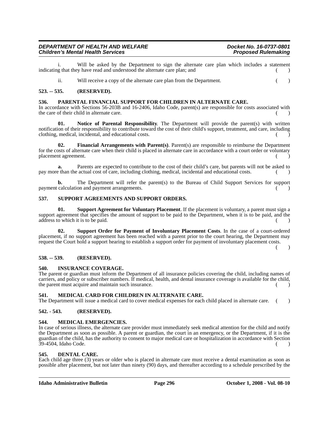# *DEPARTMENT OF HEALTH AND WELFARE Department of the Docket No. 16-0737-0801*<br>Children's Mental Health Services *Department of the Docket No. 16-0737-0801 Children's Mental Health Services*

i. Will be asked by the Department to sign the alternate care plan which includes a statement indicating that they have read and understood the alternate care plan; and ( )

ii. Will receive a copy of the alternate care plan from the Department. ()

# **523. -- 535. (RESERVED).**

### **536. PARENTAL FINANCIAL SUPPORT FOR CHILDREN IN ALTERNATE CARE.**

In accordance with Sections 56-203B and 16-2406, Idaho Code, parent(s) are responsible for costs associated with the care of their child in alternate care. () ()

Notice of Parental Responsibility. The Department will provide the parent(s) with written notification of their responsibility to contribute toward the cost of their child's support, treatment, and care, including clothing, medical, incidental, and educational costs. ( )

**02. Financial Arrangements with Parent(s)**. Parent(s) are responsible to reimburse the Department for the costs of alternate care when their child is placed in alternate care in accordance with a court order or voluntary placement agreement.

**a.** Parents are expected to contribute to the cost of their child's care, but parents will not be asked to pay more than the actual cost of care, including clothing, medical, incidental and educational costs. ( )

**b.** The Department will refer the parent(s) to the Bureau of Child Support Services for support payment calculation and payment arrangements. ( )

#### **537. SUPPORT AGREEMENTS AND SUPPORT ORDERS.**

**01. Support Agreement for Voluntary Placement**. If the placement is voluntary, a parent must sign a support agreement that specifies the amount of support to be paid to the Department, when it is to be paid, and the address to which it is to be paid. ( )

**02. Support Order for Payment of Involuntary Placement Costs**. In the case of a court-ordered placement, if no support agreement has been reached with a parent prior to the court hearing, the Department may request the Court hold a support hearing to establish a support order for payment of involuntary placement costs.

 $\lambda$ 

#### **538. -- 539. (RESERVED).**

#### **540. INSURANCE COVERAGE.**

The parent or guardian must inform the Department of all insurance policies covering the child, including names of carriers, and policy or subscriber numbers. If medical, health, and dental insurance coverage is available for the child, the parent must acquire and maintain such insurance. ( )

# **541. MEDICAL CARD FOR CHILDREN IN ALTERNATE CARE.**

The Department will issue a medical card to cover medical expenses for each child placed in alternate care. ()

#### **542. - 543. (RESERVED).**

# **544. MEDICAL EMERGENCIES.**

In case of serious illness, the alternate care provider must immediately seek medical attention for the child and notify the Department as soon as possible. A parent or guardian, the court in an emergency, or the Department, if it is the guardian of the child, has the authority to consent to major medical care or hospitalization in accordance with Section  $39-4504$ , Idaho Code. ()

#### **545. DENTAL CARE.**

Each child age three (3) years or older who is placed in alternate care must receive a dental examination as soon as possible after placement, but not later than ninety (90) days, and thereafter according to a schedule prescribed by the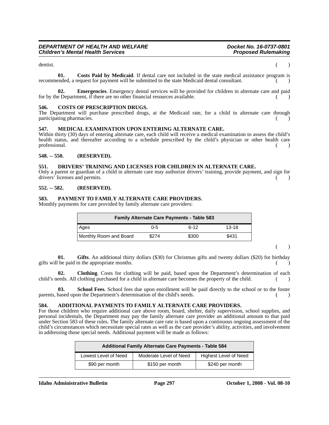dentist. (a) and the contract of the contract of the contract of the contract of the contract of the contract of the contract of the contract of the contract of the contract of the contract of the contract of the contract

**01. Costs Paid by Medicaid**. If dental care not included in the state medical assistance program is recommended, a request for payment will be submitted to the state Medicaid dental consultant.

**02. Emergencies**. Emergency dental services will be provided for children in alternate care and paid for by the Department, if there are no other financial resources available.  $(1)$ 

### **546. COSTS OF PRESCRIPTION DRUGS.**

The Department will purchase prescribed drugs, at the Medicaid rate, for a child in alternate care through participating pharmacies.

#### **547. MEDICAL EXAMINATION UPON ENTERING ALTERNATE CARE.**

Within thirty (30) days of entering alternate care, each child will receive a medical examination to assess the child's health status, and thereafter according to a schedule prescribed by the child's physician or other health care professional. (a) and the contract of the contract of the contract of the contract of the contract of the contract of the contract of the contract of the contract of the contract of the contract of the contract of the cont

# **548. -- 550. (RESERVED).**

# **551. DRIVERS' TRAINING AND LICENSES FOR CHILDREN IN ALTERNATE CARE.**

Only a parent or guardian of a child in alternate care may authorize drivers' training, provide payment, and sign for drivers' licenses and permits.  $\qquad \qquad ( )$ 

#### **552. -- 582. (RESERVED).**

#### **583. PAYMENT TO FAMILY ALTERNATE CARE PROVIDERS.**

Monthly payments for care provided by family alternate care providers:

| <b>Family Alternate Care Payments - Table 583</b> |       |        |           |  |  |
|---------------------------------------------------|-------|--------|-----------|--|--|
| Ages                                              | 0-5   | $6-12$ | $13 - 18$ |  |  |
| Monthly Room and Board                            | \$274 | \$300  | \$431     |  |  |

( )

**01. Gifts**. An additional thirty dollars (\$30) for Christmas gifts and twenty dollars (\$20) for birthday gifts will be paid in the appropriate months. (

**02. Clothing**. Costs for clothing will be paid, based upon the Department's determination of each child's needs. All clothing purchased for a child in alternate care becomes the property of the child.

**03. School Fees**. School fees due upon enrollment will be paid directly to the school or to the foster parents, based upon the Department's determination of the child's needs. () ()

### **584. ADDITIONAL PAYMENTS TO FAMILY ALTERNATE CARE PROVIDERS.**

For those children who require additional care above room, board, shelter, daily supervision, school supplies, and personal incidentals, the Department may pay the family alternate care provider an additional amount to that paid under Section 583 of these rules. The family alternate care rate is based upon a continuous ongoing assessment of the child's circumstances which necessitate special rates as well as the care provider's ability, activities, and involvement in addressing those special needs. Additional payment will be made as follows:

| <b>Additional Family Alternate Care Payments - Table 584</b> |                        |                       |  |
|--------------------------------------------------------------|------------------------|-----------------------|--|
| Lowest Level of Need                                         | Moderate Level of Need | Highest Level of Need |  |
| \$90 per month                                               | \$150 per month        | \$240 per month       |  |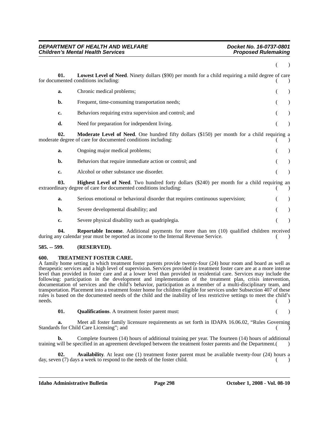| 01. | <b>Lowest Level of Need.</b> Ninety dollars (\$90) per month for a child requiring a mild degree of care<br>for documented conditions including:                        |  |
|-----|-------------------------------------------------------------------------------------------------------------------------------------------------------------------------|--|
| a.  | Chronic medical problems;                                                                                                                                               |  |
| b.  | Frequent, time-consuming transportation needs;                                                                                                                          |  |
| c.  | Behaviors requiring extra supervision and control; and                                                                                                                  |  |
| d.  | Need for preparation for independent living.                                                                                                                            |  |
| 02. | Moderate Level of Need. One hundred fifty dollars (\$150) per month for a child requiring a<br>moderate degree of care for documented conditions including:             |  |
| a.  | Ongoing major medical problems;                                                                                                                                         |  |
| b.  | Behaviors that require immediate action or control; and                                                                                                                 |  |
| c.  | Alcohol or other substance use disorder.                                                                                                                                |  |
| 03. | <b>Highest Level of Need.</b> Two hundred forty dollars (\$240) per month for a child requiring an<br>extraordinary degree of care for documented conditions including: |  |
| a.  | Serious emotional or behavioral disorder that requires continuous supervision;                                                                                          |  |
| b.  | Severe developmental disability; and                                                                                                                                    |  |
| c.  | Severe physical disability such as quadriplegia.                                                                                                                        |  |
|     |                                                                                                                                                                         |  |

**04.** Reportable Income. Additional payments for more than ten (10) qualified children received during any calendar year must be reported as income to the Internal Revenue Service.  $($ )

# **585. -- 599. (RESERVED).**

### **600. TREATMENT FOSTER CARE.**

A family home setting in which treatment foster parents provide twenty-four (24) hour room and board as well as therapeutic services and a high level of supervision. Services provided in treatment foster care are at a more intense level than provided in foster care and at a lower level than provided in residential care. Services may include the following: participation in the development and implementation of the treatment plan, crisis intervention, documentation of services and the child's behavior, participation as a member of a multi-disciplinary team, and transportation. Placement into a treatment foster home for children eligible for services under Subsection 407 of these rules is based on the documented needs of the child and the inability of less restrictive settings to meet the child's  $\blacksquare$  needs.  $\qquad \qquad (\qquad )$ 

**01. Qualifications**. A treatment foster parent must: ( )

**a.** Meet all foster family licensure requirements as set forth in IDAPA 16.06.02, "Rules Governing Standards for Child Care Licensing"; and

**b.** Complete fourteen (14) hours of additional training per year. The fourteen (14) hours of additional training will be specified in an agreement developed between the treatment foster parents and the Department.()

**02. Availability**. At least one (1) treatment foster parent must be available twenty-four (24) hours a day, seven (7) days a week to respond to the needs of the foster child. ()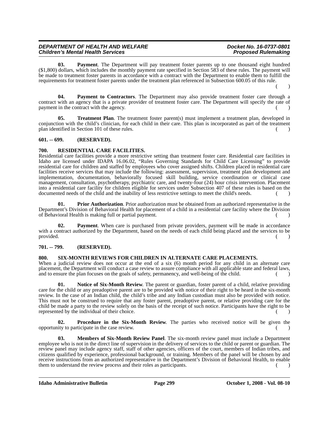# *DEPARTMENT OF HEALTH AND WELFARE Department of the Docket No. 16-0737-0801*<br>Children's Mental Health Services *Department of the Docket No. 16-0737-0801 Children's Mental Health Services*

**03. Payment**. The Department will pay treatment foster parents up to one thousand eight hundred (\$1,800) dollars, which includes the monthly payment rate specified in Section 583 of these rules. The payment will be made to treatment foster parents in accordance with a contract with the Department to enable them to fulfill the requirements for treatment foster parents under the treatment plan referenced in Subsection 600.05 of this rule.  $($  )

**04. Payment to Contractors**. The Department may also provide treatment foster care through a contract with an agency that is a private provider of treatment foster care. The Department will specify the rate of payment in the contract with the agency.

**05. Treatment Plan**. The treatment foster parent(s) must implement a treatment plan, developed in conjunction with the child's clinician, for each child in their care. This plan is incorporated as part of the treatment plan identified in Section 101 of these rules.

# **601. -- 699. (RESERVED).**

# **700. RESIDENTIAL CARE FACILITIES.**

Residential care facilities provide a more restrictive setting than treatment foster care. Residential care facilities in Idaho are licensed under IDAPA 16.06.02, "Rules Governing Standards for Child Care Licensing" to provide residential care for children and staffed by employees who cover assigned shifts. Children placed in residential care facilities receive services that may include the following: assessment, supervision, treatment plan development and implementation, documentation, behaviorally focused skill building, service coordination or clinical case management, consultation, psychotherapy, psychiatric care, and twenty-four (24) hour crisis intervention. Placement into a residential care facility for children eligible for services under Subsection 407 of these rules is based on the documented needs of the child and the inability of less restrictive settings to meet the child's needs.  $($ )

**01. Prior Authorization**. Prior authorization must be obtained from an authorized representative in the Department's Division of Behavioral Health for placement of a child in a residential care facility where the Division of Behavioral Health is making full or partial payment.

**02. Payment**. When care is purchased from private providers, payment will be made in accordance with a contract authorized by the Department, based on the needs of each child being placed and the services to be provided.  $($   $)$ 

# **701. -- 799. (RESERVED).**

#### **800. SIX-MONTH REVIEWS FOR CHILDREN IN ALTERNATE CARE PLACEMENTS.**

When a judicial review does not occur at the end of a six (6) month period for any child in an alternate care placement, the Department will conduct a case review to assure compliance with all applicable state and federal laws, and to ensure the plan focuses on the goals of safety, permanency, and well-being of the child.  $($ )

**01. Notice of Six-Month Review**. The parent or guardian, foster parent of a child, relative providing care for the child or any preadoptive parent are to be provided with notice of their right to be heard in the six-month review. In the case of an Indian child, the child's tribe and any Indian custodian must also be provided with notice. This must not be construed to require that any foster parent, preadoptive parent, or relative providing care for the child be made a party to the review solely on the basis of the receipt of such notice. Participants have the right to be represented by the individual of their choice.

**02. Procedure in the Six-Month Review**. The parties who received notice will be given the  $\blacksquare$  opportunity to participate in the case review.  $\begin{pmatrix} 1 & 1 \\ 1 & 1 \end{pmatrix}$ 

**Members of Six-Month Review Panel**. The six-month review panel must include a Department employee who is not in the direct line of supervision in the delivery of services to the child or parent or guardian. The review panel may include agency staff, staff of other agencies, officers of the court, members of Indian tribes, and citizens qualified by experience, professional background, or training. Members of the panel will be chosen by and receive instructions from an authorized representative in the Department's Division of Behavioral Health, to enable them to understand the review process and their roles as participants. () ()